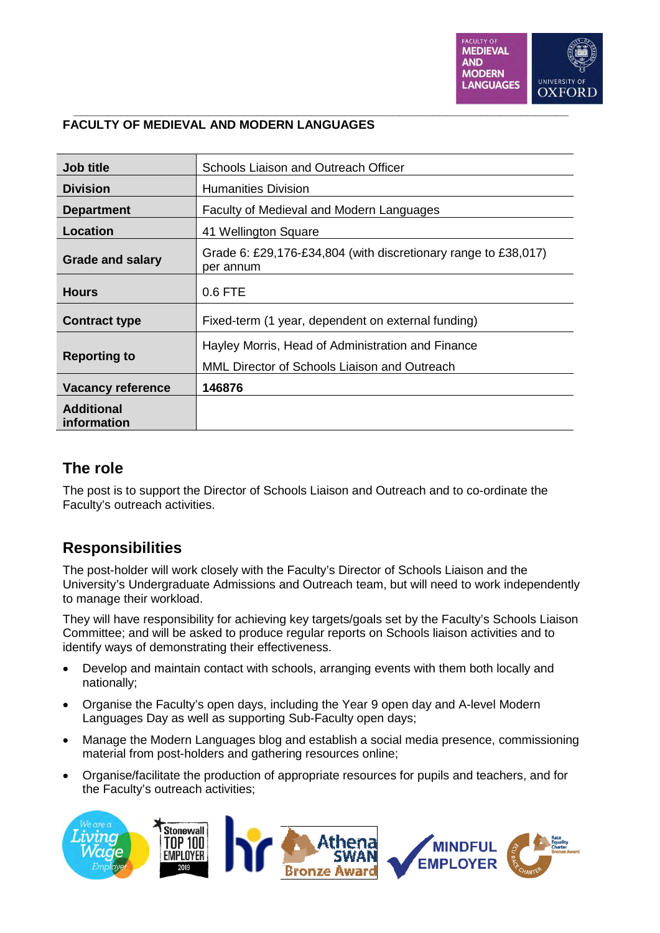

| Job title                        | Schools Liaison and Outreach Officer                                        |
|----------------------------------|-----------------------------------------------------------------------------|
| <b>Division</b>                  | Humanities Division                                                         |
| <b>Department</b>                | Faculty of Medieval and Modern Languages                                    |
| Location                         | 41 Wellington Square                                                        |
| <b>Grade and salary</b>          | Grade 6: £29,176-£34,804 (with discretionary range to £38,017)<br>per annum |
| <b>Hours</b>                     | $0.6$ FTE                                                                   |
| <b>Contract type</b>             | Fixed-term (1 year, dependent on external funding)                          |
| <b>Reporting to</b>              | Hayley Morris, Head of Administration and Finance                           |
|                                  | MML Director of Schools Liaison and Outreach                                |
| <b>Vacancy reference</b>         | 146876                                                                      |
| <b>Additional</b><br>information |                                                                             |

#### **\_\_\_\_\_\_\_\_\_\_\_\_\_\_\_\_\_\_\_\_\_\_\_\_\_\_\_\_\_\_\_\_\_\_\_\_\_\_\_\_\_\_\_\_\_\_\_\_\_\_\_\_\_\_\_\_\_\_\_\_\_\_\_\_\_\_\_\_\_\_\_\_\_ FACULTY OF MEDIEVAL AND MODERN LANGUAGES**

### **The role**

The post is to support the Director of Schools Liaison and Outreach and to co-ordinate the Faculty's outreach activities.

## **Responsibilities**

The post-holder will work closely with the Faculty's Director of Schools Liaison and the University's Undergraduate Admissions and Outreach team, but will need to work independently to manage their workload.

They will have responsibility for achieving key targets/goals set by the Faculty's Schools Liaison Committee; and will be asked to produce regular reports on Schools liaison activities and to identify ways of demonstrating their effectiveness.

- Develop and maintain contact with schools, arranging events with them both locally and nationally;
- Organise the Faculty's open days, including the Year 9 open day and A-level Modern Languages Day as well as supporting Sub-Faculty open days;
- Manage the Modern Languages blog and establish a social media presence, commissioning material from post-holders and gathering resources online;
- Organise/facilitate the production of appropriate resources for pupils and teachers, and for the Faculty's outreach activities;

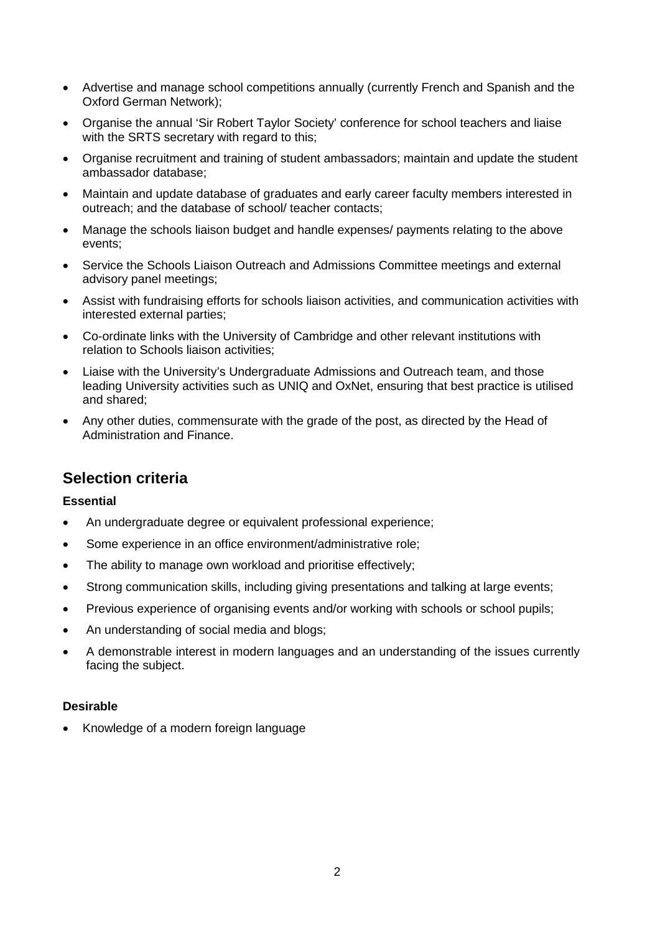- Advertise and manage school competitions annually (currently French and Spanish and the Oxford German Network);
- Organise the annual 'Sir Robert Taylor Society' conference for school teachers and liaise with the SRTS secretary with regard to this;
- Organise recruitment and training of student ambassadors; maintain and update the student ambassador database;
- Maintain and update database of graduates and early career faculty members interested in outreach; and the database of school/ teacher contacts;
- Manage the schools liaison budget and handle expenses/ payments relating to the above events;
- Service the Schools Liaison Outreach and Admissions Committee meetings and external advisory panel meetings;
- Assist with fundraising efforts for schools liaison activities, and communication activities with interested external parties;
- Co-ordinate links with the University of Cambridge and other relevant institutions with relation to Schools liaison activities;
- Liaise with the University's Undergraduate Admissions and Outreach team, and those leading University activities such as UNIQ and OxNet, ensuring that best practice is utilised and shared;
- Any other duties, commensurate with the grade of the post, as directed by the Head of Administration and Finance.

### **Selection criteria**

#### **Essential**

- An undergraduate degree or equivalent professional experience;
- Some experience in an office environment/administrative role;
- The ability to manage own workload and prioritise effectively;
- Strong communication skills, including giving presentations and talking at large events;
- Previous experience of organising events and/or working with schools or school pupils;
- An understanding of social media and blogs:
- A demonstrable interest in modern languages and an understanding of the issues currently facing the subject.

#### **Desirable**

Knowledge of a modern foreign language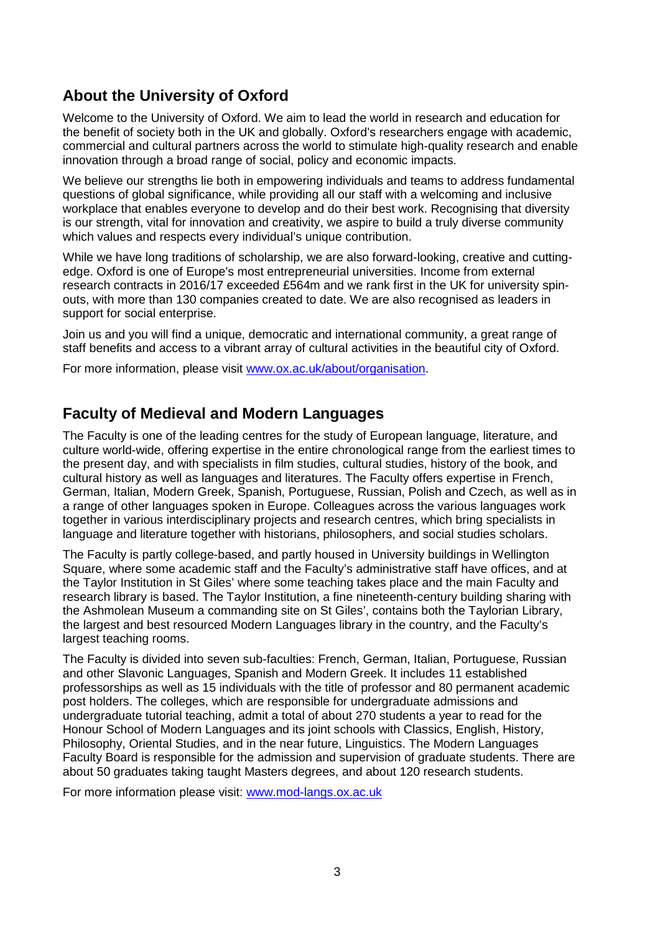# **About the University of Oxford**

Welcome to the University of Oxford. We aim to lead the world in research and education for the benefit of society both in the UK and globally. Oxford's researchers engage with academic, commercial and cultural partners across the world to stimulate high-quality research and enable innovation through a broad range of social, policy and economic impacts.

We believe our strengths lie both in empowering individuals and teams to address fundamental questions of global significance, while providing all our staff with a welcoming and inclusive workplace that enables everyone to develop and do their best work. Recognising that diversity is our strength, vital for innovation and creativity, we aspire to build a truly diverse community which values and respects every individual's unique contribution.

While we have long traditions of scholarship, we are also forward-looking, creative and cuttingedge. Oxford is one of Europe's most entrepreneurial universities. Income from external research contracts in 2016/17 exceeded £564m and we rank first in the UK for university spinouts, with more than 130 companies created to date. We are also recognised as leaders in support for social enterprise.

Join us and you will find a unique, democratic and international community, a great range of staff benefits and access to a vibrant array of cultural activities in the beautiful city of Oxford.

For more information, please visit www.ox.ac.uk/about/organisation.

## **Faculty of Medieval and Modern Languages**

The Faculty is one of the leading centres for the study of European language, literature, and culture world-wide, offering expertise in the entire chronological range from the earliest times to the present day, and with specialists in film studies, cultural studies, history of the book, and cultural history as well as languages and literatures. The Faculty offers expertise in French, German, Italian, Modern Greek, Spanish, Portuguese, Russian, Polish and Czech, as well as in a range of other languages spoken in Europe. Colleagues across the various languages work together in various interdisciplinary projects and research centres, which bring specialists in language and literature together with historians, philosophers, and social studies scholars.

The Faculty is partly college-based, and partly housed in University buildings in Wellington Square, where some academic staff and the Faculty's administrative staff have offices, and at the Taylor Institution in St Giles' where some teaching takes place and the main Faculty and research library is based. The Taylor Institution, a fine nineteenth-century building sharing with the Ashmolean Museum a commanding site on St Giles', contains both the Taylorian Library, the largest and best resourced Modern Languages library in the country, and the Faculty's largest teaching rooms.

The Faculty is divided into seven sub-faculties: French, German, Italian, Portuguese, Russian and other Slavonic Languages, Spanish and Modern Greek. It includes 11 established professorships as well as 15 individuals with the title of professor and 80 permanent academic post holders. The colleges, which are responsible for undergraduate admissions and undergraduate tutorial teaching, admit a total of about 270 students a year to read for the Honour School of Modern Languages and its joint schools with Classics, English, History, Philosophy, Oriental Studies, and in the near future, Linguistics. The Modern Languages Faculty Board is responsible for the admission and supervision of graduate students. There are about 50 graduates taking taught Masters degrees, and about 120 research students.

For more information please visit: www.mod-langs.ox.ac.uk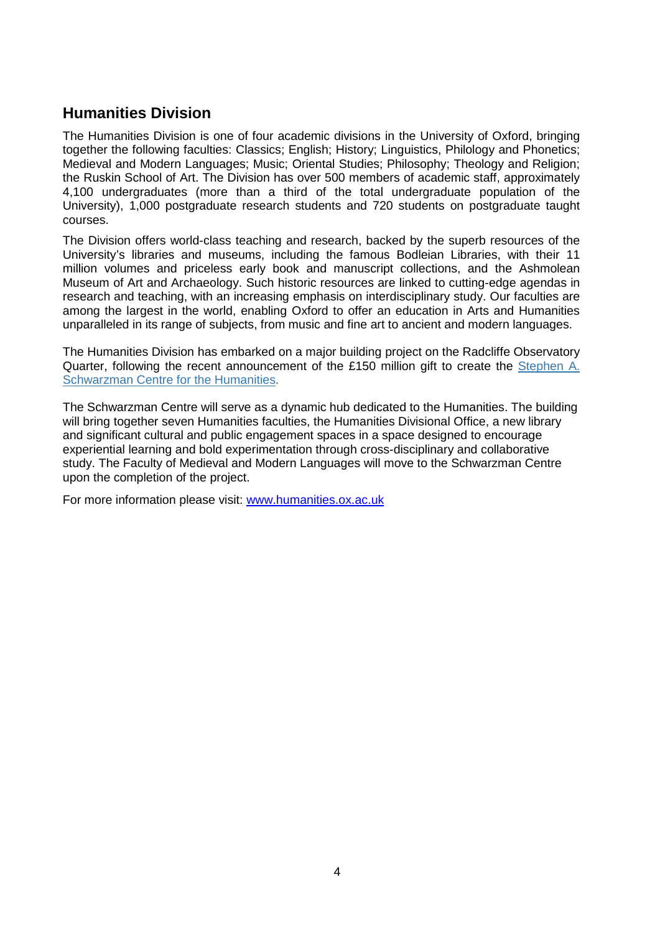## **Humanities Division**

The Humanities Division is one of four academic divisions in the University of Oxford, bringing together the following faculties: Classics; English; History; Linguistics, Philology and Phonetics; Medieval and Modern Languages; Music; Oriental Studies; Philosophy; Theology and Religion; the Ruskin School of Art. The Division has over 500 members of academic staff, approximately 4,100 undergraduates (more than a third of the total undergraduate population of the University), 1,000 postgraduate research students and 720 students on postgraduate taught courses.

The Division offers world-class teaching and research, backed by the superb resources of the University's libraries and museums, including the famous Bodleian Libraries, with their 11 million volumes and priceless early book and manuscript collections, and the Ashmolean Museum of Art and Archaeology. Such historic resources are linked to cutting-edge agendas in research and teaching, with an increasing emphasis on interdisciplinary study. Our faculties are among the largest in the world, enabling Oxford to offer an education in Arts and Humanities unparalleled in its range of subjects, from music and fine art to ancient and modern languages.

The Humanities Division has embarked on a major building project on the Radcliffe Observatory Quarter, following the recent announcement of the £150 million gift to create the Stephen A. Schwarzman Centre for the Humanities.

The Schwarzman Centre will serve as a dynamic hub dedicated to the Humanities. The building will bring together seven Humanities faculties, the Humanities Divisional Office, a new library and significant cultural and public engagement spaces in a space designed to encourage experiential learning and bold experimentation through cross-disciplinary and collaborative study. The Faculty of Medieval and Modern Languages will move to the Schwarzman Centre upon the completion of the project.

For more information please visit: www.humanities.ox.ac.uk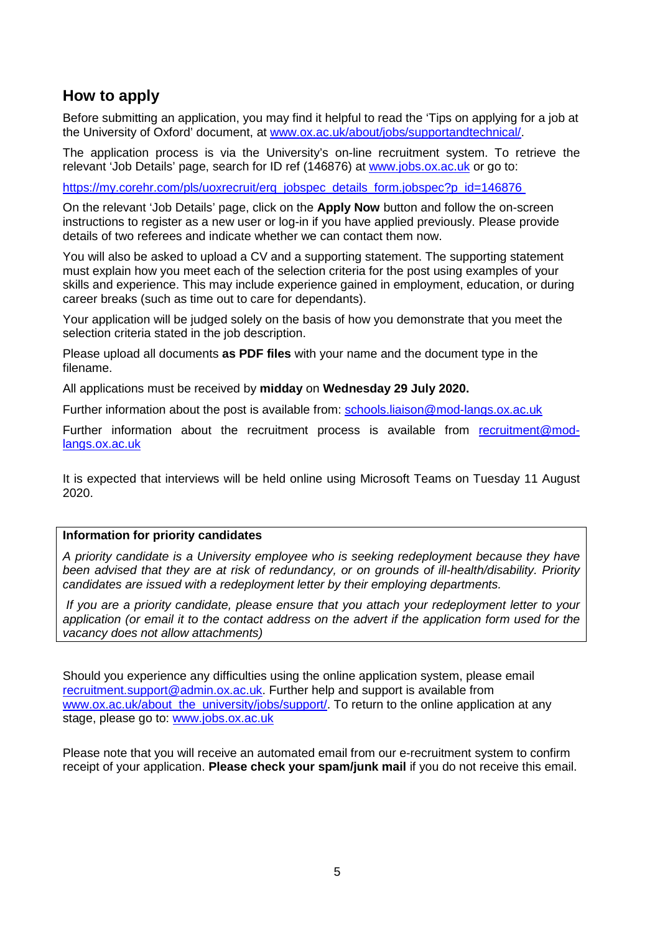## **How to apply**

Before submitting an application, you may find it helpful to read the 'Tips on applying for a job at the University of Oxford' document, at www.ox.ac.uk/about/jobs/supportandtechnical/.

The application process is via the University's on-line recruitment system. To retrieve the relevant 'Job Details' page, search for ID ref (146876) at www.jobs.ox.ac.uk or go to:

https://my.corehr.com/pls/uoxrecruit/erq\_jobspec\_details\_form.jobspec?p\_id=146876

On the relevant 'Job Details' page, click on the **Apply Now** button and follow the on-screen instructions to register as a new user or log-in if you have applied previously. Please provide details of two referees and indicate whether we can contact them now.

You will also be asked to upload a CV and a supporting statement. The supporting statement must explain how you meet each of the selection criteria for the post using examples of your skills and experience. This may include experience gained in employment, education, or during career breaks (such as time out to care for dependants).

Your application will be judged solely on the basis of how you demonstrate that you meet the selection criteria stated in the job description.

Please upload all documents **as PDF files** with your name and the document type in the filename.

All applications must be received by **midday** on **Wednesday 29 July 2020.** 

Further information about the post is available from: schools.liaison@mod-langs.ox.ac.uk

Further information about the recruitment process is available from recruitment@modlangs.ox.ac.uk

It is expected that interviews will be held online using Microsoft Teams on Tuesday 11 August 2020.

#### **Information for priority candidates**

*A priority candidate is a University employee who is seeking redeployment because they have been advised that they are at risk of redundancy, or on grounds of ill-health/disability. Priority candidates are issued with a redeployment letter by their employing departments.* 

 *If you are a priority candidate, please ensure that you attach your redeployment letter to your application (or email it to the contact address on the advert if the application form used for the vacancy does not allow attachments)* 

Should you experience any difficulties using the online application system, please email recruitment.support@admin.ox.ac.uk. Further help and support is available from www.ox.ac.uk/about\_the\_university/jobs/support/. To return to the online application at any stage, please go to: www.jobs.ox.ac.uk

Please note that you will receive an automated email from our e-recruitment system to confirm receipt of your application. **Please check your spam/junk mail** if you do not receive this email.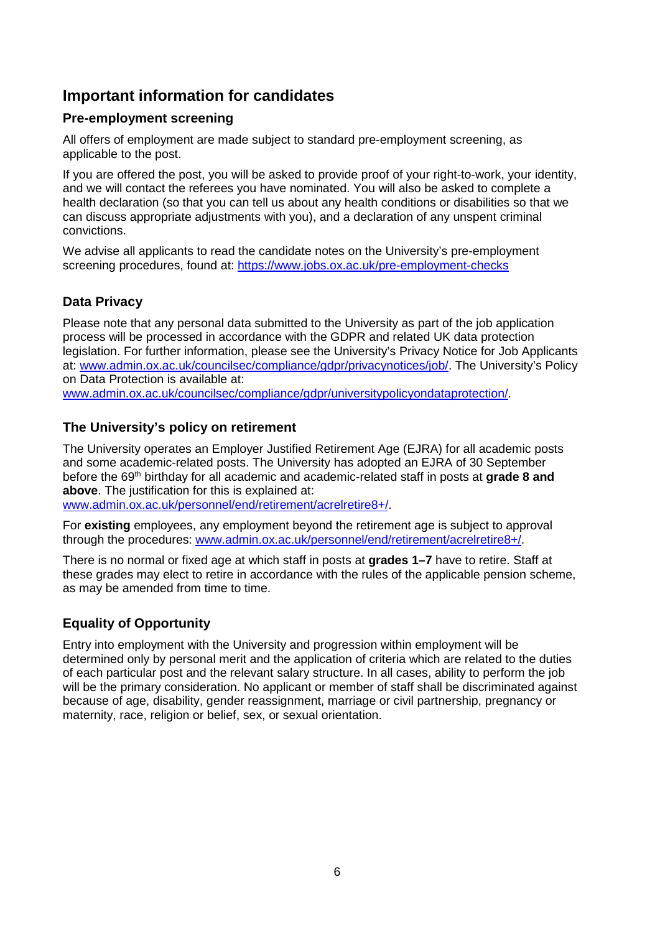# **Important information for candidates**

#### **Pre-employment screening**

All offers of employment are made subject to standard pre-employment screening, as applicable to the post.

If you are offered the post, you will be asked to provide proof of your right-to-work, your identity, and we will contact the referees you have nominated. You will also be asked to complete a health declaration (so that you can tell us about any health conditions or disabilities so that we can discuss appropriate adjustments with you), and a declaration of any unspent criminal convictions.

We advise all applicants to read the candidate notes on the University's pre-employment screening procedures, found at: https://www.jobs.ox.ac.uk/pre-employment-checks

### **Data Privacy**

Please note that any personal data submitted to the University as part of the job application process will be processed in accordance with the GDPR and related UK data protection legislation. For further information, please see the University's Privacy Notice for Job Applicants at: www.admin.ox.ac.uk/councilsec/compliance/gdpr/privacynotices/job/. The University's Policy on Data Protection is available at: www.admin.ox.ac.uk/councilsec/compliance/gdpr/universitypolicyondataprotection/.

#### **The University's policy on retirement**

The University operates an Employer Justified Retirement Age (EJRA) for all academic posts and some academic-related posts. The University has adopted an EJRA of 30 September before the 69<sup>th</sup> birthday for all academic and academic-related staff in posts at grade 8 and **above**. The justification for this is explained at:

www.admin.ox.ac.uk/personnel/end/retirement/acrelretire8+/.

For **existing** employees, any employment beyond the retirement age is subject to approval through the procedures: www.admin.ox.ac.uk/personnel/end/retirement/acrelretire8+/.

There is no normal or fixed age at which staff in posts at **grades 1–7** have to retire. Staff at these grades may elect to retire in accordance with the rules of the applicable pension scheme, as may be amended from time to time.

#### **Equality of Opportunity**

Entry into employment with the University and progression within employment will be determined only by personal merit and the application of criteria which are related to the duties of each particular post and the relevant salary structure. In all cases, ability to perform the job will be the primary consideration. No applicant or member of staff shall be discriminated against because of age, disability, gender reassignment, marriage or civil partnership, pregnancy or maternity, race, religion or belief, sex, or sexual orientation.